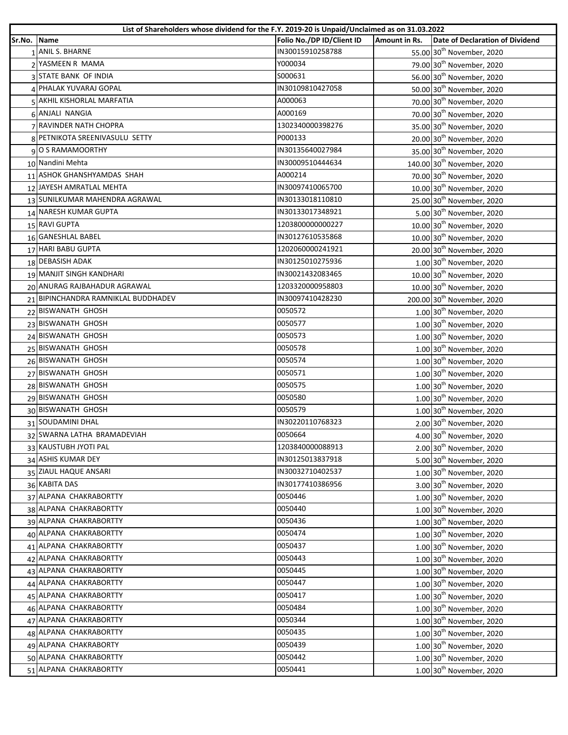| List of Shareholders whose dividend for the F.Y. 2019-20 is Unpaid/Unclaimed as on 31.03.2022 |                                     |                           |               |                                        |
|-----------------------------------------------------------------------------------------------|-------------------------------------|---------------------------|---------------|----------------------------------------|
| Sr.No. Name                                                                                   |                                     | Folio No./DP ID/Client ID | Amount in Rs. | <b>Date of Declaration of Dividend</b> |
|                                                                                               | 1 ANIL S. BHARNE                    | IN30015910258788          |               | 55.00 30 <sup>th</sup> November, 2020  |
|                                                                                               | 2 YASMEEN R MAMA                    | Y000034                   |               | 79.00 30 <sup>th</sup> November, 2020  |
|                                                                                               | 3 STATE BANK OF INDIA               | S000631                   |               | 56.00 30 <sup>th</sup> November, 2020  |
|                                                                                               | 4 PHALAK YUVARAJ GOPAL              | IN30109810427058          |               | 50.00 30 <sup>th</sup> November, 2020  |
|                                                                                               | 5 AKHIL KISHORLAL MARFATIA          | A000063                   |               | 70.00 30 <sup>th</sup> November, 2020  |
|                                                                                               | 6 ANJALI NANGIA                     | A000169                   |               | 70.00 30 <sup>th</sup> November, 2020  |
|                                                                                               | 7 RAVINDER NATH CHOPRA              | 1302340000398276          |               | 35.00 30 <sup>th</sup> November, 2020  |
|                                                                                               | 8 PETNIKOTA SREENIVASULU SETTY      | P000133                   |               | 20.00 30 <sup>th</sup> November, 2020  |
|                                                                                               | O S RAMAMOORTHY                     | IN30135640027984          |               | 35.00 30 <sup>th</sup> November, 2020  |
|                                                                                               | 10 Nandini Mehta                    | IN30009510444634          |               | 140.00 30 <sup>th</sup> November, 2020 |
|                                                                                               | 11 ASHOK GHANSHYAMDAS SHAH          | A000214                   |               | 70.00 30 <sup>th</sup> November, 2020  |
|                                                                                               | 12 JAYESH AMRATLAL MEHTA            | IN30097410065700          |               | 10.00 30 <sup>th</sup> November, 2020  |
|                                                                                               | 13 SUNILKUMAR MAHENDRA AGRAWAL      | IN30133018110810          |               | 25.00 30 <sup>th</sup> November, 2020  |
|                                                                                               | 14 NARESH KUMAR GUPTA               | IN30133017348921          |               | 5.00 30 <sup>th</sup> November, 2020   |
|                                                                                               | 15 RAVI GUPTA                       | 1203800000000227          |               | 10.00 30 <sup>th</sup> November, 2020  |
|                                                                                               | 16 GANESHLAL BABEL                  | IN30127610535868          |               | 10.00 30 <sup>th</sup> November, 2020  |
|                                                                                               | 17 HARI BABU GUPTA                  | 1202060000241921          |               | 20.00 30 <sup>th</sup> November, 2020  |
|                                                                                               | 18 DEBASISH ADAK                    | IN30125010275936          |               | $1.00$ 30 <sup>th</sup> November, 2020 |
|                                                                                               | 19 MANJIT SINGH KANDHARI            | IN30021432083465          |               | 10.00 30 <sup>th</sup> November, 2020  |
|                                                                                               | 20 ANURAG RAJBAHADUR AGRAWAL        | 1203320000958803          |               | 10.00 30 <sup>th</sup> November, 2020  |
|                                                                                               | 21 BIPINCHANDRA RAMNIKLAL BUDDHADEV | IN30097410428230          |               | 200.00 30 <sup>th</sup> November, 2020 |
|                                                                                               | 22 BISWANATH GHOSH                  | 0050572                   |               | 1.00 30 <sup>th</sup> November, 2020   |
|                                                                                               | 23 BISWANATH GHOSH                  | 0050577                   |               | 1.00 30 <sup>th</sup> November, 2020   |
|                                                                                               | 24 BISWANATH GHOSH                  | 0050573                   |               | 1.00 30 <sup>th</sup> November, 2020   |
|                                                                                               | 25 BISWANATH GHOSH                  | 0050578                   |               | $1.00$ 30 <sup>th</sup> November, 2020 |
|                                                                                               | 26 BISWANATH GHOSH                  | 0050574                   |               | 1.00 30 <sup>th</sup> November, 2020   |
|                                                                                               | 27 BISWANATH GHOSH                  | 0050571                   |               | $1.00$ 30 <sup>th</sup> November, 2020 |
|                                                                                               | 28 BISWANATH GHOSH                  | 0050575                   |               | 1.00 30 <sup>th</sup> November, 2020   |
|                                                                                               | 29 BISWANATH GHOSH                  | 0050580                   |               | 1.00 30 <sup>th</sup> November, 2020   |
|                                                                                               | 30 BISWANATH GHOSH                  | 0050579                   |               | 1.00 30 <sup>th</sup> November, 2020   |
|                                                                                               | 31 SOUDAMINI DHAL                   | IN30220110768323          |               | 2.00 30 <sup>th</sup> November, 2020   |
|                                                                                               | 32 SWARNA LATHA BRAMADEVIAH         | 0050664                   |               | 4.00 30 <sup>th</sup> November, 2020   |
|                                                                                               | 33 KAUSTUBH JYOTI PAL               | 1203840000088913          |               | 2.00 30 <sup>th</sup> November, 2020   |
|                                                                                               | 34 ASHIS KUMAR DEY                  | IN30125013837918          |               | 5.00 30 <sup>th</sup> November, 2020   |
|                                                                                               | 35 ZIAUL HAQUE ANSARI               | IN30032710402537          |               | 1.00 30 <sup>th</sup> November, 2020   |
|                                                                                               | 36 KABITA DAS                       | IN30177410386956          |               | 3.00 30 <sup>th</sup> November, 2020   |
|                                                                                               | 37 ALPANA CHAKRABORTTY              | 0050446                   |               | 1.00 30 <sup>th</sup> November, 2020   |
|                                                                                               | 38 ALPANA CHAKRABORTTY              | 0050440                   |               | 1.00 30 <sup>th</sup> November, 2020   |
|                                                                                               | 39 ALPANA CHAKRABORTTY              | 0050436                   |               | $1.00$ 30 <sup>th</sup> November, 2020 |
|                                                                                               | 40 ALPANA CHAKRABORTTY              | 0050474                   |               | 1.00 30 <sup>th</sup> November, 2020   |
|                                                                                               | 41 ALPANA CHAKRABORTTY              | 0050437                   |               | 1.00 30 <sup>th</sup> November, 2020   |
|                                                                                               | 42 ALPANA CHAKRABORTTY              | 0050443                   |               | 1.00 30 <sup>th</sup> November, 2020   |
|                                                                                               | 43 ALPANA CHAKRABORTTY              | 0050445                   |               | $1.00$ 30 <sup>th</sup> November, 2020 |
|                                                                                               | 44 ALPANA CHAKRABORTTY              | 0050447                   |               | 1.00 30 <sup>th</sup> November, 2020   |
|                                                                                               | 45 ALPANA CHAKRABORTTY              | 0050417                   |               | $1.00$ 30 <sup>th</sup> November, 2020 |
|                                                                                               | 46 ALPANA CHAKRABORTTY              | 0050484                   |               | 1.00 30 <sup>th</sup> November, 2020   |
|                                                                                               | 47 ALPANA CHAKRABORTTY              | 0050344                   |               | 1.00 30 <sup>th</sup> November, 2020   |
|                                                                                               | 48 ALPANA CHAKRABORTTY              | 0050435                   |               | $1.00$ 30 <sup>th</sup> November, 2020 |
|                                                                                               | 49 ALPANA CHAKRABORTY               | 0050439                   |               | 1.00 30 <sup>th</sup> November, 2020   |
|                                                                                               | 50 ALPANA CHAKRABORTTY              | 0050442                   |               | 1.00 30 <sup>th</sup> November, 2020   |
|                                                                                               | 51 ALPANA CHAKRABORTTY              | 0050441                   |               | 1.00 30 <sup>th</sup> November, 2020   |
|                                                                                               |                                     |                           |               |                                        |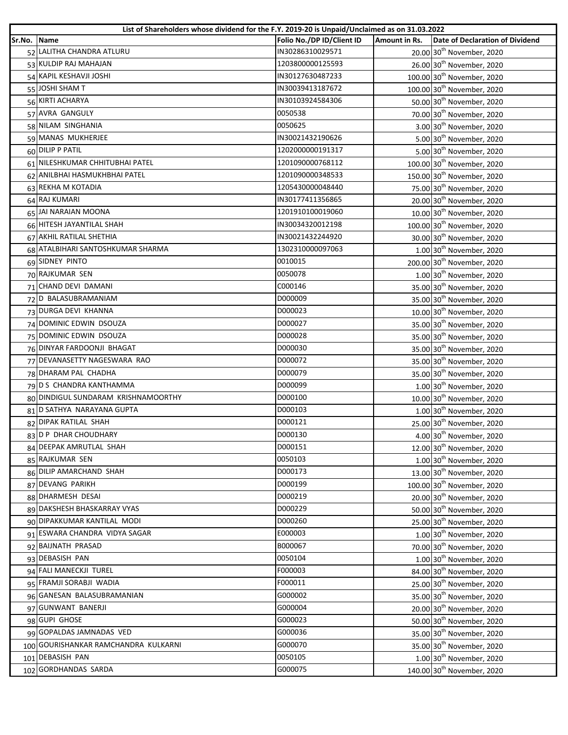| Folio No./DP ID/Client ID<br>Sr.No. Name<br>Amount in Rs.<br>52 LALITHA CHANDRA ATLURU<br>IN30286310029571<br>20.00 30 <sup>th</sup> November, 2020<br>53 KULDIP RAJ MAHAJAN<br>1203800000125593<br>26.00 30 <sup>th</sup> November, 2020<br>54 KAPIL KESHAVJI JOSHI<br>IN30127630487233<br>100.00 30 <sup>th</sup> November, 2020<br>55 JOSHI SHAM T<br>IN30039413187672<br>100.00 30 <sup>th</sup> November, 2020<br>56 KIRTI ACHARYA<br>IN30103924584306<br>50.00 30 <sup>th</sup> November, 2020<br>70.00 30 <sup>th</sup> November, 2020<br>57 AVRA GANGULY<br>0050538<br>58 NILAM SINGHANIA<br>0050625 | Date of Declaration of Dividend<br>3.00 30 <sup>th</sup> November, 2020<br>5.00 30 <sup>th</sup> November, 2020<br>5.00 30 <sup>th</sup> November, 2020 |
|--------------------------------------------------------------------------------------------------------------------------------------------------------------------------------------------------------------------------------------------------------------------------------------------------------------------------------------------------------------------------------------------------------------------------------------------------------------------------------------------------------------------------------------------------------------------------------------------------------------|---------------------------------------------------------------------------------------------------------------------------------------------------------|
|                                                                                                                                                                                                                                                                                                                                                                                                                                                                                                                                                                                                              |                                                                                                                                                         |
|                                                                                                                                                                                                                                                                                                                                                                                                                                                                                                                                                                                                              |                                                                                                                                                         |
|                                                                                                                                                                                                                                                                                                                                                                                                                                                                                                                                                                                                              |                                                                                                                                                         |
|                                                                                                                                                                                                                                                                                                                                                                                                                                                                                                                                                                                                              |                                                                                                                                                         |
|                                                                                                                                                                                                                                                                                                                                                                                                                                                                                                                                                                                                              |                                                                                                                                                         |
|                                                                                                                                                                                                                                                                                                                                                                                                                                                                                                                                                                                                              |                                                                                                                                                         |
|                                                                                                                                                                                                                                                                                                                                                                                                                                                                                                                                                                                                              |                                                                                                                                                         |
|                                                                                                                                                                                                                                                                                                                                                                                                                                                                                                                                                                                                              |                                                                                                                                                         |
| 59 MANAS MUKHERJEE<br>IN30021432190626                                                                                                                                                                                                                                                                                                                                                                                                                                                                                                                                                                       |                                                                                                                                                         |
| 60 DILIP P PATIL<br>1202000000191317                                                                                                                                                                                                                                                                                                                                                                                                                                                                                                                                                                         |                                                                                                                                                         |
| 61 NILESHKUMAR CHHITUBHAI PATEL<br>1201090000768112<br>100.00 30 <sup>th</sup> November, 2020                                                                                                                                                                                                                                                                                                                                                                                                                                                                                                                |                                                                                                                                                         |
| 62 ANILBHAI HASMUKHBHAI PATEL<br>1201090000348533<br>150.00 30 <sup>th</sup> November, 2020                                                                                                                                                                                                                                                                                                                                                                                                                                                                                                                  |                                                                                                                                                         |
| 63 REKHA M KOTADIA<br>1205430000048440<br>75.00 30 <sup>th</sup> November, 2020                                                                                                                                                                                                                                                                                                                                                                                                                                                                                                                              |                                                                                                                                                         |
| 64 RAJ KUMARI<br>IN30177411356865<br>20.00 30 <sup>th</sup> November, 2020                                                                                                                                                                                                                                                                                                                                                                                                                                                                                                                                   |                                                                                                                                                         |
| 65 JAI NARAIAN MOONA<br>1201910100019060<br>10.00 30 <sup>th</sup> November, 2020                                                                                                                                                                                                                                                                                                                                                                                                                                                                                                                            |                                                                                                                                                         |
| 66 HITESH JAYANTILAL SHAH<br>100.00 30 <sup>th</sup> November, 2020<br>IN30034320012198                                                                                                                                                                                                                                                                                                                                                                                                                                                                                                                      |                                                                                                                                                         |
| 67 AKHIL RATILAL SHETHIA<br>IN30021432244920<br>30.00 30 <sup>th</sup> November, 2020                                                                                                                                                                                                                                                                                                                                                                                                                                                                                                                        |                                                                                                                                                         |
| 68 ATALBIHARI SANTOSHKUMAR SHARMA<br>1302310000097063                                                                                                                                                                                                                                                                                                                                                                                                                                                                                                                                                        | 1.00 30 <sup>th</sup> November, 2020                                                                                                                    |
| 69 SIDNEY PINTO<br>0010015<br>200.00 30 <sup>th</sup> November, 2020                                                                                                                                                                                                                                                                                                                                                                                                                                                                                                                                         |                                                                                                                                                         |
| 70 RAJKUMAR SEN<br>0050078                                                                                                                                                                                                                                                                                                                                                                                                                                                                                                                                                                                   | 1.00 30 <sup>th</sup> November, 2020                                                                                                                    |
| 71 CHAND DEVI DAMANI<br>C000146<br>35.00 30 <sup>th</sup> November, 2020                                                                                                                                                                                                                                                                                                                                                                                                                                                                                                                                     |                                                                                                                                                         |
| 72 D BALASUBRAMANIAM<br>D000009<br>35.00 30 <sup>th</sup> November, 2020                                                                                                                                                                                                                                                                                                                                                                                                                                                                                                                                     |                                                                                                                                                         |
| 73 DURGA DEVI KHANNA<br>D000023<br>10.00 30 <sup>th</sup> November, 2020                                                                                                                                                                                                                                                                                                                                                                                                                                                                                                                                     |                                                                                                                                                         |
| 74 DOMINIC EDWIN DSOUZA<br>D000027<br>35.00 30 <sup>th</sup> November, 2020                                                                                                                                                                                                                                                                                                                                                                                                                                                                                                                                  |                                                                                                                                                         |
| 75 DOMINIC EDWIN DSOUZA<br>D000028<br>35.00 30 <sup>th</sup> November, 2020                                                                                                                                                                                                                                                                                                                                                                                                                                                                                                                                  |                                                                                                                                                         |
| 76 DINYAR FARDOONJI BHAGAT<br>D000030<br>35.00 30 <sup>th</sup> November, 2020                                                                                                                                                                                                                                                                                                                                                                                                                                                                                                                               |                                                                                                                                                         |
| 77 DEVANASETTY NAGESWARA RAO<br>D000072<br>35.00 30 <sup>th</sup> November, 2020                                                                                                                                                                                                                                                                                                                                                                                                                                                                                                                             |                                                                                                                                                         |
| 78 DHARAM PAL CHADHA<br>D000079<br>35.00 30 <sup>th</sup> November, 2020                                                                                                                                                                                                                                                                                                                                                                                                                                                                                                                                     |                                                                                                                                                         |
| 79 D S CHANDRA KANTHAMMA<br>D000099                                                                                                                                                                                                                                                                                                                                                                                                                                                                                                                                                                          | 1.00 30 <sup>th</sup> November, 2020                                                                                                                    |
| 80 DINDIGUL SUNDARAM KRISHNAMOORTHY<br>D000100<br>10.00 30 <sup>th</sup> November, 2020                                                                                                                                                                                                                                                                                                                                                                                                                                                                                                                      |                                                                                                                                                         |
| 81 D SATHYA NARAYANA GUPTA<br>D000103                                                                                                                                                                                                                                                                                                                                                                                                                                                                                                                                                                        | 1.00 30 <sup>th</sup> November, 2020                                                                                                                    |
| 82 DIPAK RATILAL SHAH<br>25.00 30 <sup>th</sup> November, 2020<br>D000121                                                                                                                                                                                                                                                                                                                                                                                                                                                                                                                                    |                                                                                                                                                         |
| 83 D P DHAR CHOUDHARY<br>D000130                                                                                                                                                                                                                                                                                                                                                                                                                                                                                                                                                                             | 4.00 30 <sup>th</sup> November, 2020                                                                                                                    |
| D000151<br>84 DEEPAK AMRUTLAL SHAH<br>12.00 30 <sup>th</sup> November, 2020                                                                                                                                                                                                                                                                                                                                                                                                                                                                                                                                  |                                                                                                                                                         |
| 85 RAJKUMAR SEN<br>0050103                                                                                                                                                                                                                                                                                                                                                                                                                                                                                                                                                                                   | $1.00$ 30 <sup>th</sup> November, 2020                                                                                                                  |
| 86 DILIP AMARCHAND SHAH<br>D000173<br>13.00 30 <sup>th</sup> November, 2020                                                                                                                                                                                                                                                                                                                                                                                                                                                                                                                                  |                                                                                                                                                         |
| 87 DEVANG PARIKH<br>D000199<br>100.00 30 <sup>th</sup> November, 2020                                                                                                                                                                                                                                                                                                                                                                                                                                                                                                                                        |                                                                                                                                                         |
| 88 DHARMESH DESAI<br>D000219<br>20.00 30 <sup>th</sup> November, 2020                                                                                                                                                                                                                                                                                                                                                                                                                                                                                                                                        |                                                                                                                                                         |
| 89 DAKSHESH BHASKARRAY VYAS<br>D000229<br>50.00 30 <sup>th</sup> November, 2020                                                                                                                                                                                                                                                                                                                                                                                                                                                                                                                              |                                                                                                                                                         |
| 90 DIPAKKUMAR KANTILAL MODI<br>D000260<br>25.00 30 <sup>th</sup> November, 2020                                                                                                                                                                                                                                                                                                                                                                                                                                                                                                                              |                                                                                                                                                         |
| 91 ESWARA CHANDRA VIDYA SAGAR<br>E000003                                                                                                                                                                                                                                                                                                                                                                                                                                                                                                                                                                     | 1.00 30 <sup>th</sup> November, 2020                                                                                                                    |
| 92 BAIJNATH PRASAD<br>B000067<br>70.00 30 <sup>th</sup> November, 2020                                                                                                                                                                                                                                                                                                                                                                                                                                                                                                                                       |                                                                                                                                                         |
| 93 DEBASISH PAN<br>0050104                                                                                                                                                                                                                                                                                                                                                                                                                                                                                                                                                                                   | 1.00 30 <sup>th</sup> November, 2020                                                                                                                    |
| F000003<br>94 FALI MANECKJI TUREL<br>84.00 30 <sup>th</sup> November, 2020                                                                                                                                                                                                                                                                                                                                                                                                                                                                                                                                   |                                                                                                                                                         |
| 95 FRAMJI SORABJI WADIA<br>F000011<br>25.00 30 <sup>th</sup> November, 2020                                                                                                                                                                                                                                                                                                                                                                                                                                                                                                                                  |                                                                                                                                                         |
| 96 GANESAN BALASUBRAMANIAN<br>G000002<br>35.00 30 <sup>th</sup> November, 2020                                                                                                                                                                                                                                                                                                                                                                                                                                                                                                                               |                                                                                                                                                         |
| 97 GUNWANT BANERJI<br>G000004<br>20.00 30 <sup>th</sup> November, 2020                                                                                                                                                                                                                                                                                                                                                                                                                                                                                                                                       |                                                                                                                                                         |
| 98 GUPI GHOSE<br>G000023<br>50.00 30 <sup>th</sup> November, 2020                                                                                                                                                                                                                                                                                                                                                                                                                                                                                                                                            |                                                                                                                                                         |
| 99 GOPALDAS JAMNADAS VED<br>G000036<br>35.00 30 <sup>th</sup> November, 2020                                                                                                                                                                                                                                                                                                                                                                                                                                                                                                                                 |                                                                                                                                                         |
| 100 GOURISHANKAR RAMCHANDRA KULKARNI<br>G000070<br>35.00 30 <sup>th</sup> November, 2020                                                                                                                                                                                                                                                                                                                                                                                                                                                                                                                     |                                                                                                                                                         |
| 101 DEBASISH PAN<br>0050105                                                                                                                                                                                                                                                                                                                                                                                                                                                                                                                                                                                  | $1.00 30^{th}$ November, 2020                                                                                                                           |
| 102 GORDHANDAS SARDA<br>G000075<br>140.00 30 <sup>th</sup> November, 2020                                                                                                                                                                                                                                                                                                                                                                                                                                                                                                                                    |                                                                                                                                                         |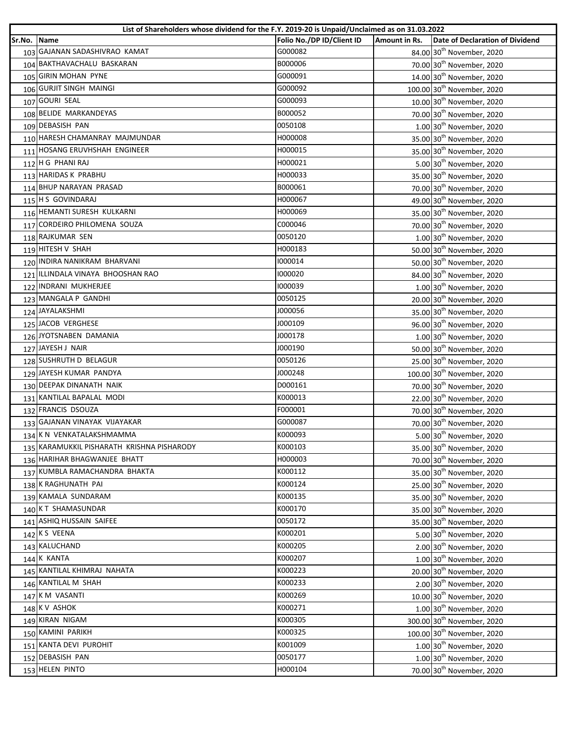|             | List of Shareholders whose dividend for the F.Y. 2019-20 is Unpaid/Unclaimed as on 31.03.2022 |                           |               |                                        |
|-------------|-----------------------------------------------------------------------------------------------|---------------------------|---------------|----------------------------------------|
| Sr.No. Name |                                                                                               | Folio No./DP ID/Client ID | Amount in Rs. | Date of Declaration of Dividend        |
|             | 103 GAJANAN SADASHIVRAO KAMAT                                                                 | G000082                   |               | 84.00 30 <sup>th</sup> November, 2020  |
|             | 104 BAKTHAVACHALU BASKARAN                                                                    | B000006                   |               | 70.00 30 <sup>th</sup> November, 2020  |
|             | 105 GIRIN MOHAN PYNE                                                                          | G000091                   |               | 14.00 30 <sup>th</sup> November, 2020  |
|             | 106 GURJIT SINGH MAINGI                                                                       | G000092                   |               | 100.00 30 <sup>th</sup> November, 2020 |
|             | 107 GOURI SEAL                                                                                | G000093                   |               | 10.00 30 <sup>th</sup> November, 2020  |
|             | 108 BELIDE MARKANDEYAS                                                                        | B000052                   |               | 70.00 30 <sup>th</sup> November, 2020  |
|             | 109 DEBASISH PAN                                                                              | 0050108                   |               | $1.00$ 30 <sup>th</sup> November, 2020 |
|             | 110 HARESH CHAMANRAY MAJMUNDAR                                                                | H000008                   |               | 35.00 30 <sup>th</sup> November, 2020  |
|             | 111 HOSANG ERUVHSHAH ENGINEER                                                                 | H000015                   |               | 35.00 30 <sup>th</sup> November, 2020  |
|             | 112 H G PHANI RAJ                                                                             | H000021                   |               | 5.00 30 <sup>th</sup> November, 2020   |
|             | 113 HARIDAS K PRABHU                                                                          | H000033                   |               | 35.00 30 <sup>th</sup> November, 2020  |
|             | 114 BHUP NARAYAN PRASAD                                                                       | B000061                   |               | 70.00 30 <sup>th</sup> November, 2020  |
|             | 115 H S GOVINDARAJ                                                                            | H000067                   |               | 49.00 30 <sup>th</sup> November, 2020  |
|             | 116 HEMANTI SURESH KULKARNI                                                                   | H000069                   |               | 35.00 30 <sup>th</sup> November, 2020  |
|             | 117 CORDEIRO PHILOMENA SOUZA                                                                  | C000046                   |               | 70.00 30 <sup>th</sup> November, 2020  |
|             | 118 RAJKUMAR SEN                                                                              | 0050120                   |               | 1.00 30 <sup>th</sup> November, 2020   |
|             | 119 HITESH V SHAH                                                                             | H000183                   |               | 50.00 30 <sup>th</sup> November, 2020  |
|             | 120 INDIRA NANIKRAM BHARVANI                                                                  | 1000014                   |               | 50.00 30 <sup>th</sup> November, 2020  |
|             | 121 ILLINDALA VINAYA BHOOSHAN RAO                                                             | 1000020                   |               | 84.00 30 <sup>th</sup> November, 2020  |
|             | 122 INDRANI MUKHERJEE                                                                         | 1000039                   |               | 1.00 30 <sup>th</sup> November, 2020   |
|             | 123 MANGALA P GANDHI                                                                          | 0050125                   |               | 20.00 30 <sup>th</sup> November, 2020  |
|             | 124 JAYALAKSHMI                                                                               | J000056                   |               | 35.00 30 <sup>th</sup> November, 2020  |
|             | 125 JACOB VERGHESE                                                                            | J000109                   |               | 96.00 30 <sup>th</sup> November, 2020  |
|             | 126 JYOTSNABEN DAMANIA                                                                        | J000178                   |               | 1.00 30 <sup>th</sup> November, 2020   |
|             | 127 JAYESH J NAIR                                                                             | J000190                   |               | 50.00 30 <sup>th</sup> November, 2020  |
|             | 128 SUSHRUTH D BELAGUR                                                                        | 0050126                   |               | 25.00 30 <sup>th</sup> November, 2020  |
|             | 129 JAYESH KUMAR PANDYA                                                                       | J000248                   |               | 100.00 30 <sup>th</sup> November, 2020 |
|             | 130 DEEPAK DINANATH NAIK                                                                      | D000161                   |               | 70.00 30 <sup>th</sup> November, 2020  |
|             | 131 KANTILAL BAPALAL MODI                                                                     | K000013                   |               | 22.00 30 <sup>th</sup> November, 2020  |
|             | 132 FRANCIS DSOUZA                                                                            | F000001                   |               | 70.00 30 <sup>th</sup> November, 2020  |
|             | 133 GAJANAN VINAYAK VIJAYAKAR                                                                 | G000087                   |               | 70.00 30 <sup>th</sup> November, 2020  |
|             | 134 K N VENKATALAKSHMAMMA                                                                     | K000093                   |               | 5.00 30 <sup>th</sup> November, 2020   |
|             | 135 KARAMUKKIL PISHARATH KRISHNA PISHARODY                                                    | K000103                   |               | 35.00 30 <sup>th</sup> November, 2020  |
|             | 136 HARIHAR BHAGWANJEE BHATT                                                                  | H000003                   |               | 70.00 30 <sup>th</sup> November, 2020  |
|             | 137 KUMBLA RAMACHANDRA BHAKTA                                                                 | K000112                   |               | 35.00 30 <sup>th</sup> November, 2020  |
|             | 138 K RAGHUNATH PAI                                                                           | K000124                   |               | 25.00 30 <sup>th</sup> November, 2020  |
|             | 139 KAMALA SUNDARAM                                                                           | K000135                   |               | 35.00 30 <sup>th</sup> November, 2020  |
|             | 140 KT SHAMASUNDAR                                                                            | K000170                   |               | 35.00 30 <sup>th</sup> November, 2020  |
|             | 141 ASHIQ HUSSAIN SAIFEE                                                                      | 0050172                   |               | 35.00 30 <sup>th</sup> November, 2020  |
|             | 142 K S VEENA                                                                                 | K000201                   |               | 5.00 30 <sup>th</sup> November, 2020   |
|             | 143 KALUCHAND                                                                                 | K000205                   |               | 2.00 30 <sup>th</sup> November, 2020   |
|             | 144 K KANTA                                                                                   | K000207                   |               | 1.00 30 <sup>th</sup> November, 2020   |
|             | 145 KANTILAL KHIMRAJ NAHATA                                                                   | K000223                   |               | 20.00 30 <sup>th</sup> November, 2020  |
|             | 146 KANTILAL M SHAH                                                                           | K000233                   |               | 2.00 30 <sup>th</sup> November, 2020   |
|             | 147 KM VASANTI                                                                                | K000269                   |               | 10.00 30 <sup>th</sup> November, 2020  |
|             | 148 KV ASHOK                                                                                  | K000271                   |               | 1.00 30 <sup>th</sup> November, 2020   |
|             | 149 KIRAN NIGAM                                                                               | K000305                   |               | 300.00 30 <sup>th</sup> November, 2020 |
|             | 150 KAMINI PARIKH                                                                             | K000325                   |               | 100.00 30 <sup>th</sup> November, 2020 |
|             | 151 KANTA DEVI PUROHIT                                                                        | K001009                   |               | 1.00 30 <sup>th</sup> November, 2020   |
|             | 152 DEBASISH PAN                                                                              | 0050177                   |               | $1.00$ 30 <sup>th</sup> November, 2020 |
|             | 153 HELEN PINTO                                                                               | H000104                   |               | 70.00 30 <sup>th</sup> November, 2020  |
|             |                                                                                               |                           |               |                                        |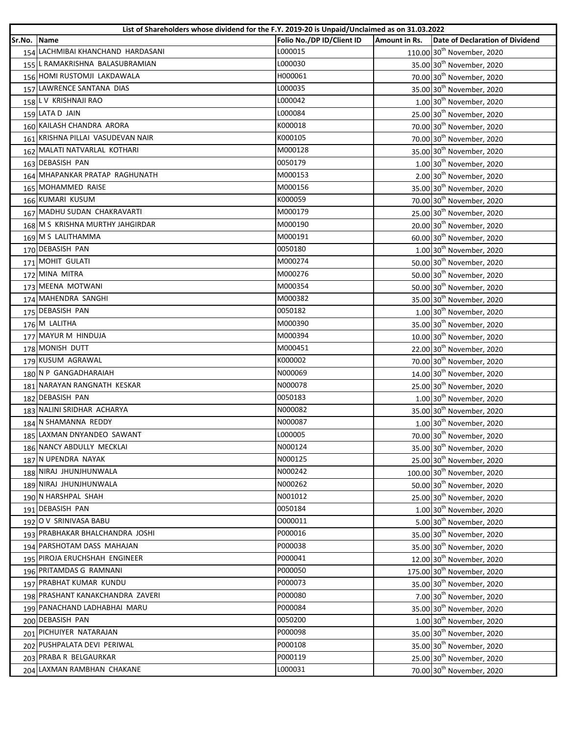|             | List of Shareholders whose dividend for the F.Y. 2019-20 is Unpaid/Unclaimed as on 31.03.2022 |                           |               |                                        |
|-------------|-----------------------------------------------------------------------------------------------|---------------------------|---------------|----------------------------------------|
| Sr.No. Name |                                                                                               | Folio No./DP ID/Client ID | Amount in Rs. | Date of Declaration of Dividend        |
|             | 154 LACHMIBAI KHANCHAND HARDASANI                                                             | L000015                   |               | 110.00 30 <sup>th</sup> November, 2020 |
|             | 155 L RAMAKRISHNA BALASUBRAMIAN                                                               | L000030                   |               | 35.00 30 <sup>th</sup> November, 2020  |
|             | 156 HOMI RUSTOMJI LAKDAWALA                                                                   | H000061                   |               | 70.00 30 <sup>th</sup> November, 2020  |
|             | 157 LAWRENCE SANTANA DIAS                                                                     | L000035                   |               | 35.00 30 <sup>th</sup> November, 2020  |
|             | 158 L V KRISHNAJI RAO                                                                         | L000042                   |               | 1.00 30 <sup>th</sup> November, 2020   |
|             | 159 LATA D JAIN                                                                               | L000084                   |               | 25.00 30 <sup>th</sup> November, 2020  |
|             | 160 KAILASH CHANDRA ARORA                                                                     | K000018                   |               | 70.00 30 <sup>th</sup> November, 2020  |
|             | 161 KRISHNA PILLAI VASUDEVAN NAIR                                                             | K000105                   |               | 70.00 30 <sup>th</sup> November, 2020  |
|             | 162 MALATI NATVARLAL KOTHARI                                                                  | M000128                   |               | 35.00 30 <sup>th</sup> November, 2020  |
|             | 163 DEBASISH PAN                                                                              | 0050179                   |               | 1.00 30 <sup>th</sup> November, 2020   |
|             | 164 MHAPANKAR PRATAP RAGHUNATH                                                                | M000153                   |               | 2.00 30 <sup>th</sup> November, 2020   |
|             | 165 MOHAMMED RAISE                                                                            | M000156                   |               | 35.00 30 <sup>th</sup> November, 2020  |
|             | 166 KUMARI KUSUM                                                                              | K000059                   |               | 70.00 30 <sup>th</sup> November, 2020  |
|             | 167 MADHU SUDAN CHAKRAVARTI                                                                   | M000179                   |               | 25.00 30 <sup>th</sup> November, 2020  |
|             | 168 M S KRISHNA MURTHY JAHGIRDAR                                                              | M000190                   |               | 20.00 30 <sup>th</sup> November, 2020  |
|             | 169 M S LALITHAMMA                                                                            | M000191                   |               | 60.00 30 <sup>th</sup> November, 2020  |
|             | 170 DEBASISH PAN                                                                              | 0050180                   |               | 1.00 30 <sup>th</sup> November, 2020   |
|             | 171 MOHIT GULATI                                                                              | M000274                   |               | 50.00 30 <sup>th</sup> November, 2020  |
|             | 172 MINA MITRA                                                                                | M000276                   |               | 50.00 30 <sup>th</sup> November, 2020  |
|             | 173 MEENA MOTWANI                                                                             | M000354                   |               | 50.00 30 <sup>th</sup> November, 2020  |
|             | 174 MAHENDRA SANGHI                                                                           | M000382                   |               | 35.00 30 <sup>th</sup> November, 2020  |
|             | 175 DEBASISH PAN                                                                              | 0050182                   |               | 1.00 30 <sup>th</sup> November, 2020   |
|             | 176 M LALITHA                                                                                 | M000390                   |               | 35.00 30 <sup>th</sup> November, 2020  |
|             | 177 MAYUR M HINDUJA                                                                           | M000394                   |               | 10.00 30 <sup>th</sup> November, 2020  |
|             | 178 MONISH DUTT                                                                               | M000451                   |               | 22.00 30 <sup>th</sup> November, 2020  |
|             | 179 KUSUM AGRAWAL                                                                             | K000002                   |               | 70.00 30 <sup>th</sup> November, 2020  |
|             | 180 N P GANGADHARAIAH                                                                         | N000069                   |               | 14.00 30 <sup>th</sup> November, 2020  |
|             | 181 NARAYAN RANGNATH KESKAR                                                                   | N000078                   |               | 25.00 30 <sup>th</sup> November, 2020  |
|             | 182 DEBASISH PAN                                                                              | 0050183                   |               | 1.00 30 <sup>th</sup> November, 2020   |
|             | 183 NALINI SRIDHAR ACHARYA                                                                    | N000082                   |               | 35.00 30 <sup>th</sup> November, 2020  |
|             | 184 N SHAMANNA REDDY                                                                          | N000087                   |               | 1.00 30 <sup>th</sup> November, 2020   |
|             | 185 LAXMAN DNYANDEO SAWANT                                                                    | L000005                   |               | 70.00 30 <sup>th</sup> November, 2020  |
|             | 186 NANCY ABDULLY MECKLAI                                                                     | N000124                   |               | 35.00 30 <sup>th</sup> November, 2020  |
|             | 187 N UPENDRA NAYAK                                                                           | N000125                   |               | 25.00 30 <sup>th</sup> November, 2020  |
|             | 188 NIRAJ JHUNJHUNWALA                                                                        | N000242                   |               | 100.00 30 <sup>th</sup> November, 2020 |
|             | 189 NIRAJ JHUNJHUNWALA                                                                        | N000262                   |               | 50.00 30 <sup>th</sup> November, 2020  |
|             | 190 N HARSHPAL SHAH                                                                           | N001012                   |               | 25.00 30 <sup>th</sup> November, 2020  |
|             | 191 DEBASISH PAN                                                                              | 0050184                   |               | 1.00 30 <sup>th</sup> November, 2020   |
|             | 192 O V SRINIVASA BABU                                                                        | 0000011                   |               | 5.00 30 <sup>th</sup> November, 2020   |
|             | 193 PRABHAKAR BHALCHANDRA JOSHI                                                               | P000016                   |               | 35.00 30 <sup>th</sup> November, 2020  |
|             | 194 PARSHOTAM DASS MAHAJAN                                                                    | P000038                   |               | 35.00 30 <sup>th</sup> November, 2020  |
|             | 195 PIROJA ERUCHSHAH ENGINEER                                                                 | P000041                   |               | 12.00 30 <sup>th</sup> November, 2020  |
|             | 196 PRITAMDAS G RAMNANI                                                                       | P000050                   |               | 175.00 30 <sup>th</sup> November, 2020 |
|             | 197 PRABHAT KUMAR KUNDU                                                                       | P000073                   |               | 35.00 30 <sup>th</sup> November, 2020  |
|             | 198 PRASHANT KANAKCHANDRA ZAVERI                                                              | P000080                   |               | 7.00 30 <sup>th</sup> November, 2020   |
|             | 199 PANACHAND LADHABHAI MARU                                                                  | P000084                   |               | 35.00 30 <sup>th</sup> November, 2020  |
|             | 200 DEBASISH PAN                                                                              | 0050200                   |               | 1.00 30 <sup>th</sup> November, 2020   |
|             | 201 PICHUIYER NATARAJAN                                                                       | P000098                   |               | 35.00 30 <sup>th</sup> November, 2020  |
|             | 202 PUSHPALATA DEVI PERIWAL                                                                   | P000108                   |               | 35.00 30 <sup>th</sup> November, 2020  |
|             | 203 PRABA R BELGAURKAR                                                                        | P000119                   |               | 25.00 30 <sup>th</sup> November, 2020  |
|             | 204 LAXMAN RAMBHAN CHAKANE                                                                    | L000031                   |               | 70.00 30 <sup>th</sup> November, 2020  |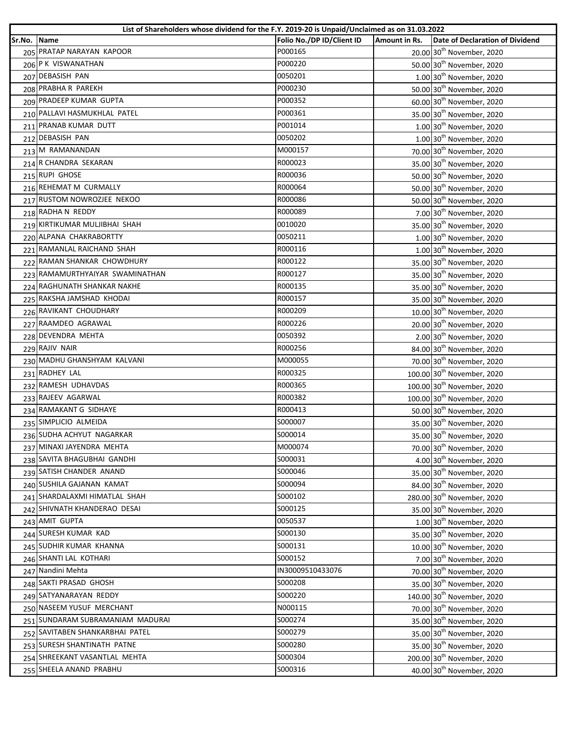| Name<br>P000165<br>205 PRATAP NARAYAN KAPOOR<br>20.00 30 <sup>th</sup> November, 2020<br>P000220<br>206 P K VISWANATHAN<br>50.00 30 <sup>th</sup> November, 2020<br>207 DEBASISH PAN<br>0050201<br>1.00 30 <sup>th</sup> November, 2020<br>208 PRABHA R PAREKH<br>P000230<br>50.00 30 <sup>th</sup> November, 2020<br>209 PRADEEP KUMAR GUPTA<br>P000352<br>60.00 30 <sup>th</sup> November, 2020<br>35.00 30 <sup>th</sup> November, 2020<br>210 PALLAVI HASMUKHLAL PATEL<br>P000361<br>211 PRANAB KUMAR DUTT<br>P001014<br>$1.00$ 30 <sup>th</sup> November, 2020<br>212 DEBASISH PAN<br>0050202<br>1.00 30 <sup>th</sup> November, 2020<br>213 M RAMANANDAN<br>M000157<br>70.00 30 <sup>th</sup> November, 2020<br>35.00 30 <sup>th</sup> November, 2020<br>214 R CHANDRA SEKARAN<br>R000023<br>215 RUPI GHOSE<br>R000036<br>50.00 30 <sup>th</sup> November, 2020<br>216 REHEMAT M CURMALLY<br>R000064<br>50.00 30 <sup>th</sup> November, 2020<br>217 RUSTOM NOWROZJEE NEKOO<br>R000086<br>50.00 30 <sup>th</sup> November, 2020<br>218 RADHA N REDDY<br>R000089<br>7.00 30 <sup>th</sup> November, 2020<br>219 KIRTIKUMAR MULJIBHAI SHAH<br>0010020<br>35.00 30 <sup>th</sup> November, 2020<br>220 ALPANA CHAKRABORTTY<br>0050211<br>1.00 30 <sup>th</sup> November, 2020<br>221 RAMANLAL RAICHAND SHAH<br>R000116<br>1.00 30 <sup>th</sup> November, 2020<br>222 RAMAN SHANKAR CHOWDHURY<br>R000122<br>35.00 30 <sup>th</sup> November, 2020<br>223 RAMAMURTHYAIYAR SWAMINATHAN<br>R000127<br>35.00 30 <sup>th</sup> November, 2020<br>224 RAGHUNATH SHANKAR NAKHE<br>R000135<br>35.00 30 <sup>th</sup> November, 2020<br>225 RAKSHA JAMSHAD KHODAI<br>R000157<br>35.00 30 <sup>th</sup> November, 2020<br>226 RAVIKANT CHOUDHARY<br>R000209<br>10.00 30 <sup>th</sup> November, 2020<br>227 RAAMDEO AGRAWAL<br>R000226<br>20.00 30 <sup>th</sup> November, 2020<br>228 DEVENDRA MEHTA<br>2.00 30 <sup>th</sup> November, 2020<br>0050392<br>229 RAJIV NAIR<br>R000256<br>84.00 30 <sup>th</sup> November, 2020<br>230 MADHU GHANSHYAM KALVANI<br>M000055<br>70.00 30 <sup>th</sup> November, 2020<br>231 RADHEY LAL<br>R000325<br>100.00 30 <sup>th</sup> November, 2020<br>232 RAMESH UDHAVDAS<br>R000365<br>100.00 30 <sup>th</sup> November, 2020<br>233 RAJEEV AGARWAL<br>100.00 30 <sup>th</sup> November, 2020<br>R000382<br>234 RAMAKANT G SIDHAYE<br>R000413<br>50.00 30 <sup>th</sup> November, 2020<br>235 SIMPLICIO ALMEIDA<br>35.00 30 <sup>th</sup> November, 2020<br>S000007<br>236 SUDHA ACHYUT NAGARKAR<br>S000014<br>35.00 30 <sup>th</sup> November, 2020<br>M000074<br>237 MINAXI JAYENDRA MEHTA<br>70.00 30 <sup>th</sup> November, 2020<br>238 SAVITA BHAGUBHAI GANDHI<br>S000031<br>4.00 30 <sup>th</sup> November, 2020<br>239 SATISH CHANDER ANAND<br>S000046<br>35.00 30 <sup>th</sup> November, 2020<br>240 SUSHILA GAJANAN KAMAT<br>S000094<br>84.00 30 <sup>th</sup> November, 2020<br>241 SHARDALAXMI HIMATLAL SHAH<br>280.00 30 <sup>th</sup> November, 2020<br>S000102<br>242 SHIVNATH KHANDERAO DESAI<br>S000125<br>35.00 30 <sup>th</sup> November, 2020<br>243 AMIT GUPTA<br>0050537<br>1.00 30 <sup>th</sup> November, 2020<br>244 SURESH KUMAR KAD<br>S000130<br>35.00 30 <sup>th</sup> November, 2020<br>245 SUDHIR KUMAR KHANNA<br>S000131<br>10.00 30 <sup>th</sup> November, 2020<br>S000152<br>246 SHANTI LAL KOTHARI<br>7.00 30 <sup>th</sup> November, 2020<br>247 Nandini Mehta<br>IN30009510433076<br>70.00 30 <sup>th</sup> November, 2020 |        | List of Shareholders whose dividend for the F.Y. 2019-20 is Unpaid/Unclaimed as on 31.03.2022 |                           |               |                                 |
|---------------------------------------------------------------------------------------------------------------------------------------------------------------------------------------------------------------------------------------------------------------------------------------------------------------------------------------------------------------------------------------------------------------------------------------------------------------------------------------------------------------------------------------------------------------------------------------------------------------------------------------------------------------------------------------------------------------------------------------------------------------------------------------------------------------------------------------------------------------------------------------------------------------------------------------------------------------------------------------------------------------------------------------------------------------------------------------------------------------------------------------------------------------------------------------------------------------------------------------------------------------------------------------------------------------------------------------------------------------------------------------------------------------------------------------------------------------------------------------------------------------------------------------------------------------------------------------------------------------------------------------------------------------------------------------------------------------------------------------------------------------------------------------------------------------------------------------------------------------------------------------------------------------------------------------------------------------------------------------------------------------------------------------------------------------------------------------------------------------------------------------------------------------------------------------------------------------------------------------------------------------------------------------------------------------------------------------------------------------------------------------------------------------------------------------------------------------------------------------------------------------------------------------------------------------------------------------------------------------------------------------------------------------------------------------------------------------------------------------------------------------------------------------------------------------------------------------------------------------------------------------------------------------------------------------------------------------------------------------------------------------------------------------------------------------------------------------------------------------------------------------------------------------------------------------------------------------------------------------------------------------------------------------------------------------------------------------------------------------------------------------------------------------------------------------------------------------------------------------------------|--------|-----------------------------------------------------------------------------------------------|---------------------------|---------------|---------------------------------|
|                                                                                                                                                                                                                                                                                                                                                                                                                                                                                                                                                                                                                                                                                                                                                                                                                                                                                                                                                                                                                                                                                                                                                                                                                                                                                                                                                                                                                                                                                                                                                                                                                                                                                                                                                                                                                                                                                                                                                                                                                                                                                                                                                                                                                                                                                                                                                                                                                                                                                                                                                                                                                                                                                                                                                                                                                                                                                                                                                                                                                                                                                                                                                                                                                                                                                                                                                                                                                                                                                                   | Sr.No. |                                                                                               | Folio No./DP ID/Client ID | Amount in Rs. | Date of Declaration of Dividend |
|                                                                                                                                                                                                                                                                                                                                                                                                                                                                                                                                                                                                                                                                                                                                                                                                                                                                                                                                                                                                                                                                                                                                                                                                                                                                                                                                                                                                                                                                                                                                                                                                                                                                                                                                                                                                                                                                                                                                                                                                                                                                                                                                                                                                                                                                                                                                                                                                                                                                                                                                                                                                                                                                                                                                                                                                                                                                                                                                                                                                                                                                                                                                                                                                                                                                                                                                                                                                                                                                                                   |        |                                                                                               |                           |               |                                 |
|                                                                                                                                                                                                                                                                                                                                                                                                                                                                                                                                                                                                                                                                                                                                                                                                                                                                                                                                                                                                                                                                                                                                                                                                                                                                                                                                                                                                                                                                                                                                                                                                                                                                                                                                                                                                                                                                                                                                                                                                                                                                                                                                                                                                                                                                                                                                                                                                                                                                                                                                                                                                                                                                                                                                                                                                                                                                                                                                                                                                                                                                                                                                                                                                                                                                                                                                                                                                                                                                                                   |        |                                                                                               |                           |               |                                 |
|                                                                                                                                                                                                                                                                                                                                                                                                                                                                                                                                                                                                                                                                                                                                                                                                                                                                                                                                                                                                                                                                                                                                                                                                                                                                                                                                                                                                                                                                                                                                                                                                                                                                                                                                                                                                                                                                                                                                                                                                                                                                                                                                                                                                                                                                                                                                                                                                                                                                                                                                                                                                                                                                                                                                                                                                                                                                                                                                                                                                                                                                                                                                                                                                                                                                                                                                                                                                                                                                                                   |        |                                                                                               |                           |               |                                 |
|                                                                                                                                                                                                                                                                                                                                                                                                                                                                                                                                                                                                                                                                                                                                                                                                                                                                                                                                                                                                                                                                                                                                                                                                                                                                                                                                                                                                                                                                                                                                                                                                                                                                                                                                                                                                                                                                                                                                                                                                                                                                                                                                                                                                                                                                                                                                                                                                                                                                                                                                                                                                                                                                                                                                                                                                                                                                                                                                                                                                                                                                                                                                                                                                                                                                                                                                                                                                                                                                                                   |        |                                                                                               |                           |               |                                 |
|                                                                                                                                                                                                                                                                                                                                                                                                                                                                                                                                                                                                                                                                                                                                                                                                                                                                                                                                                                                                                                                                                                                                                                                                                                                                                                                                                                                                                                                                                                                                                                                                                                                                                                                                                                                                                                                                                                                                                                                                                                                                                                                                                                                                                                                                                                                                                                                                                                                                                                                                                                                                                                                                                                                                                                                                                                                                                                                                                                                                                                                                                                                                                                                                                                                                                                                                                                                                                                                                                                   |        |                                                                                               |                           |               |                                 |
|                                                                                                                                                                                                                                                                                                                                                                                                                                                                                                                                                                                                                                                                                                                                                                                                                                                                                                                                                                                                                                                                                                                                                                                                                                                                                                                                                                                                                                                                                                                                                                                                                                                                                                                                                                                                                                                                                                                                                                                                                                                                                                                                                                                                                                                                                                                                                                                                                                                                                                                                                                                                                                                                                                                                                                                                                                                                                                                                                                                                                                                                                                                                                                                                                                                                                                                                                                                                                                                                                                   |        |                                                                                               |                           |               |                                 |
|                                                                                                                                                                                                                                                                                                                                                                                                                                                                                                                                                                                                                                                                                                                                                                                                                                                                                                                                                                                                                                                                                                                                                                                                                                                                                                                                                                                                                                                                                                                                                                                                                                                                                                                                                                                                                                                                                                                                                                                                                                                                                                                                                                                                                                                                                                                                                                                                                                                                                                                                                                                                                                                                                                                                                                                                                                                                                                                                                                                                                                                                                                                                                                                                                                                                                                                                                                                                                                                                                                   |        |                                                                                               |                           |               |                                 |
|                                                                                                                                                                                                                                                                                                                                                                                                                                                                                                                                                                                                                                                                                                                                                                                                                                                                                                                                                                                                                                                                                                                                                                                                                                                                                                                                                                                                                                                                                                                                                                                                                                                                                                                                                                                                                                                                                                                                                                                                                                                                                                                                                                                                                                                                                                                                                                                                                                                                                                                                                                                                                                                                                                                                                                                                                                                                                                                                                                                                                                                                                                                                                                                                                                                                                                                                                                                                                                                                                                   |        |                                                                                               |                           |               |                                 |
|                                                                                                                                                                                                                                                                                                                                                                                                                                                                                                                                                                                                                                                                                                                                                                                                                                                                                                                                                                                                                                                                                                                                                                                                                                                                                                                                                                                                                                                                                                                                                                                                                                                                                                                                                                                                                                                                                                                                                                                                                                                                                                                                                                                                                                                                                                                                                                                                                                                                                                                                                                                                                                                                                                                                                                                                                                                                                                                                                                                                                                                                                                                                                                                                                                                                                                                                                                                                                                                                                                   |        |                                                                                               |                           |               |                                 |
|                                                                                                                                                                                                                                                                                                                                                                                                                                                                                                                                                                                                                                                                                                                                                                                                                                                                                                                                                                                                                                                                                                                                                                                                                                                                                                                                                                                                                                                                                                                                                                                                                                                                                                                                                                                                                                                                                                                                                                                                                                                                                                                                                                                                                                                                                                                                                                                                                                                                                                                                                                                                                                                                                                                                                                                                                                                                                                                                                                                                                                                                                                                                                                                                                                                                                                                                                                                                                                                                                                   |        |                                                                                               |                           |               |                                 |
|                                                                                                                                                                                                                                                                                                                                                                                                                                                                                                                                                                                                                                                                                                                                                                                                                                                                                                                                                                                                                                                                                                                                                                                                                                                                                                                                                                                                                                                                                                                                                                                                                                                                                                                                                                                                                                                                                                                                                                                                                                                                                                                                                                                                                                                                                                                                                                                                                                                                                                                                                                                                                                                                                                                                                                                                                                                                                                                                                                                                                                                                                                                                                                                                                                                                                                                                                                                                                                                                                                   |        |                                                                                               |                           |               |                                 |
|                                                                                                                                                                                                                                                                                                                                                                                                                                                                                                                                                                                                                                                                                                                                                                                                                                                                                                                                                                                                                                                                                                                                                                                                                                                                                                                                                                                                                                                                                                                                                                                                                                                                                                                                                                                                                                                                                                                                                                                                                                                                                                                                                                                                                                                                                                                                                                                                                                                                                                                                                                                                                                                                                                                                                                                                                                                                                                                                                                                                                                                                                                                                                                                                                                                                                                                                                                                                                                                                                                   |        |                                                                                               |                           |               |                                 |
|                                                                                                                                                                                                                                                                                                                                                                                                                                                                                                                                                                                                                                                                                                                                                                                                                                                                                                                                                                                                                                                                                                                                                                                                                                                                                                                                                                                                                                                                                                                                                                                                                                                                                                                                                                                                                                                                                                                                                                                                                                                                                                                                                                                                                                                                                                                                                                                                                                                                                                                                                                                                                                                                                                                                                                                                                                                                                                                                                                                                                                                                                                                                                                                                                                                                                                                                                                                                                                                                                                   |        |                                                                                               |                           |               |                                 |
|                                                                                                                                                                                                                                                                                                                                                                                                                                                                                                                                                                                                                                                                                                                                                                                                                                                                                                                                                                                                                                                                                                                                                                                                                                                                                                                                                                                                                                                                                                                                                                                                                                                                                                                                                                                                                                                                                                                                                                                                                                                                                                                                                                                                                                                                                                                                                                                                                                                                                                                                                                                                                                                                                                                                                                                                                                                                                                                                                                                                                                                                                                                                                                                                                                                                                                                                                                                                                                                                                                   |        |                                                                                               |                           |               |                                 |
|                                                                                                                                                                                                                                                                                                                                                                                                                                                                                                                                                                                                                                                                                                                                                                                                                                                                                                                                                                                                                                                                                                                                                                                                                                                                                                                                                                                                                                                                                                                                                                                                                                                                                                                                                                                                                                                                                                                                                                                                                                                                                                                                                                                                                                                                                                                                                                                                                                                                                                                                                                                                                                                                                                                                                                                                                                                                                                                                                                                                                                                                                                                                                                                                                                                                                                                                                                                                                                                                                                   |        |                                                                                               |                           |               |                                 |
|                                                                                                                                                                                                                                                                                                                                                                                                                                                                                                                                                                                                                                                                                                                                                                                                                                                                                                                                                                                                                                                                                                                                                                                                                                                                                                                                                                                                                                                                                                                                                                                                                                                                                                                                                                                                                                                                                                                                                                                                                                                                                                                                                                                                                                                                                                                                                                                                                                                                                                                                                                                                                                                                                                                                                                                                                                                                                                                                                                                                                                                                                                                                                                                                                                                                                                                                                                                                                                                                                                   |        |                                                                                               |                           |               |                                 |
|                                                                                                                                                                                                                                                                                                                                                                                                                                                                                                                                                                                                                                                                                                                                                                                                                                                                                                                                                                                                                                                                                                                                                                                                                                                                                                                                                                                                                                                                                                                                                                                                                                                                                                                                                                                                                                                                                                                                                                                                                                                                                                                                                                                                                                                                                                                                                                                                                                                                                                                                                                                                                                                                                                                                                                                                                                                                                                                                                                                                                                                                                                                                                                                                                                                                                                                                                                                                                                                                                                   |        |                                                                                               |                           |               |                                 |
|                                                                                                                                                                                                                                                                                                                                                                                                                                                                                                                                                                                                                                                                                                                                                                                                                                                                                                                                                                                                                                                                                                                                                                                                                                                                                                                                                                                                                                                                                                                                                                                                                                                                                                                                                                                                                                                                                                                                                                                                                                                                                                                                                                                                                                                                                                                                                                                                                                                                                                                                                                                                                                                                                                                                                                                                                                                                                                                                                                                                                                                                                                                                                                                                                                                                                                                                                                                                                                                                                                   |        |                                                                                               |                           |               |                                 |
|                                                                                                                                                                                                                                                                                                                                                                                                                                                                                                                                                                                                                                                                                                                                                                                                                                                                                                                                                                                                                                                                                                                                                                                                                                                                                                                                                                                                                                                                                                                                                                                                                                                                                                                                                                                                                                                                                                                                                                                                                                                                                                                                                                                                                                                                                                                                                                                                                                                                                                                                                                                                                                                                                                                                                                                                                                                                                                                                                                                                                                                                                                                                                                                                                                                                                                                                                                                                                                                                                                   |        |                                                                                               |                           |               |                                 |
|                                                                                                                                                                                                                                                                                                                                                                                                                                                                                                                                                                                                                                                                                                                                                                                                                                                                                                                                                                                                                                                                                                                                                                                                                                                                                                                                                                                                                                                                                                                                                                                                                                                                                                                                                                                                                                                                                                                                                                                                                                                                                                                                                                                                                                                                                                                                                                                                                                                                                                                                                                                                                                                                                                                                                                                                                                                                                                                                                                                                                                                                                                                                                                                                                                                                                                                                                                                                                                                                                                   |        |                                                                                               |                           |               |                                 |
|                                                                                                                                                                                                                                                                                                                                                                                                                                                                                                                                                                                                                                                                                                                                                                                                                                                                                                                                                                                                                                                                                                                                                                                                                                                                                                                                                                                                                                                                                                                                                                                                                                                                                                                                                                                                                                                                                                                                                                                                                                                                                                                                                                                                                                                                                                                                                                                                                                                                                                                                                                                                                                                                                                                                                                                                                                                                                                                                                                                                                                                                                                                                                                                                                                                                                                                                                                                                                                                                                                   |        |                                                                                               |                           |               |                                 |
|                                                                                                                                                                                                                                                                                                                                                                                                                                                                                                                                                                                                                                                                                                                                                                                                                                                                                                                                                                                                                                                                                                                                                                                                                                                                                                                                                                                                                                                                                                                                                                                                                                                                                                                                                                                                                                                                                                                                                                                                                                                                                                                                                                                                                                                                                                                                                                                                                                                                                                                                                                                                                                                                                                                                                                                                                                                                                                                                                                                                                                                                                                                                                                                                                                                                                                                                                                                                                                                                                                   |        |                                                                                               |                           |               |                                 |
|                                                                                                                                                                                                                                                                                                                                                                                                                                                                                                                                                                                                                                                                                                                                                                                                                                                                                                                                                                                                                                                                                                                                                                                                                                                                                                                                                                                                                                                                                                                                                                                                                                                                                                                                                                                                                                                                                                                                                                                                                                                                                                                                                                                                                                                                                                                                                                                                                                                                                                                                                                                                                                                                                                                                                                                                                                                                                                                                                                                                                                                                                                                                                                                                                                                                                                                                                                                                                                                                                                   |        |                                                                                               |                           |               |                                 |
|                                                                                                                                                                                                                                                                                                                                                                                                                                                                                                                                                                                                                                                                                                                                                                                                                                                                                                                                                                                                                                                                                                                                                                                                                                                                                                                                                                                                                                                                                                                                                                                                                                                                                                                                                                                                                                                                                                                                                                                                                                                                                                                                                                                                                                                                                                                                                                                                                                                                                                                                                                                                                                                                                                                                                                                                                                                                                                                                                                                                                                                                                                                                                                                                                                                                                                                                                                                                                                                                                                   |        |                                                                                               |                           |               |                                 |
|                                                                                                                                                                                                                                                                                                                                                                                                                                                                                                                                                                                                                                                                                                                                                                                                                                                                                                                                                                                                                                                                                                                                                                                                                                                                                                                                                                                                                                                                                                                                                                                                                                                                                                                                                                                                                                                                                                                                                                                                                                                                                                                                                                                                                                                                                                                                                                                                                                                                                                                                                                                                                                                                                                                                                                                                                                                                                                                                                                                                                                                                                                                                                                                                                                                                                                                                                                                                                                                                                                   |        |                                                                                               |                           |               |                                 |
|                                                                                                                                                                                                                                                                                                                                                                                                                                                                                                                                                                                                                                                                                                                                                                                                                                                                                                                                                                                                                                                                                                                                                                                                                                                                                                                                                                                                                                                                                                                                                                                                                                                                                                                                                                                                                                                                                                                                                                                                                                                                                                                                                                                                                                                                                                                                                                                                                                                                                                                                                                                                                                                                                                                                                                                                                                                                                                                                                                                                                                                                                                                                                                                                                                                                                                                                                                                                                                                                                                   |        |                                                                                               |                           |               |                                 |
|                                                                                                                                                                                                                                                                                                                                                                                                                                                                                                                                                                                                                                                                                                                                                                                                                                                                                                                                                                                                                                                                                                                                                                                                                                                                                                                                                                                                                                                                                                                                                                                                                                                                                                                                                                                                                                                                                                                                                                                                                                                                                                                                                                                                                                                                                                                                                                                                                                                                                                                                                                                                                                                                                                                                                                                                                                                                                                                                                                                                                                                                                                                                                                                                                                                                                                                                                                                                                                                                                                   |        |                                                                                               |                           |               |                                 |
|                                                                                                                                                                                                                                                                                                                                                                                                                                                                                                                                                                                                                                                                                                                                                                                                                                                                                                                                                                                                                                                                                                                                                                                                                                                                                                                                                                                                                                                                                                                                                                                                                                                                                                                                                                                                                                                                                                                                                                                                                                                                                                                                                                                                                                                                                                                                                                                                                                                                                                                                                                                                                                                                                                                                                                                                                                                                                                                                                                                                                                                                                                                                                                                                                                                                                                                                                                                                                                                                                                   |        |                                                                                               |                           |               |                                 |
|                                                                                                                                                                                                                                                                                                                                                                                                                                                                                                                                                                                                                                                                                                                                                                                                                                                                                                                                                                                                                                                                                                                                                                                                                                                                                                                                                                                                                                                                                                                                                                                                                                                                                                                                                                                                                                                                                                                                                                                                                                                                                                                                                                                                                                                                                                                                                                                                                                                                                                                                                                                                                                                                                                                                                                                                                                                                                                                                                                                                                                                                                                                                                                                                                                                                                                                                                                                                                                                                                                   |        |                                                                                               |                           |               |                                 |
|                                                                                                                                                                                                                                                                                                                                                                                                                                                                                                                                                                                                                                                                                                                                                                                                                                                                                                                                                                                                                                                                                                                                                                                                                                                                                                                                                                                                                                                                                                                                                                                                                                                                                                                                                                                                                                                                                                                                                                                                                                                                                                                                                                                                                                                                                                                                                                                                                                                                                                                                                                                                                                                                                                                                                                                                                                                                                                                                                                                                                                                                                                                                                                                                                                                                                                                                                                                                                                                                                                   |        |                                                                                               |                           |               |                                 |
|                                                                                                                                                                                                                                                                                                                                                                                                                                                                                                                                                                                                                                                                                                                                                                                                                                                                                                                                                                                                                                                                                                                                                                                                                                                                                                                                                                                                                                                                                                                                                                                                                                                                                                                                                                                                                                                                                                                                                                                                                                                                                                                                                                                                                                                                                                                                                                                                                                                                                                                                                                                                                                                                                                                                                                                                                                                                                                                                                                                                                                                                                                                                                                                                                                                                                                                                                                                                                                                                                                   |        |                                                                                               |                           |               |                                 |
|                                                                                                                                                                                                                                                                                                                                                                                                                                                                                                                                                                                                                                                                                                                                                                                                                                                                                                                                                                                                                                                                                                                                                                                                                                                                                                                                                                                                                                                                                                                                                                                                                                                                                                                                                                                                                                                                                                                                                                                                                                                                                                                                                                                                                                                                                                                                                                                                                                                                                                                                                                                                                                                                                                                                                                                                                                                                                                                                                                                                                                                                                                                                                                                                                                                                                                                                                                                                                                                                                                   |        |                                                                                               |                           |               |                                 |
|                                                                                                                                                                                                                                                                                                                                                                                                                                                                                                                                                                                                                                                                                                                                                                                                                                                                                                                                                                                                                                                                                                                                                                                                                                                                                                                                                                                                                                                                                                                                                                                                                                                                                                                                                                                                                                                                                                                                                                                                                                                                                                                                                                                                                                                                                                                                                                                                                                                                                                                                                                                                                                                                                                                                                                                                                                                                                                                                                                                                                                                                                                                                                                                                                                                                                                                                                                                                                                                                                                   |        |                                                                                               |                           |               |                                 |
|                                                                                                                                                                                                                                                                                                                                                                                                                                                                                                                                                                                                                                                                                                                                                                                                                                                                                                                                                                                                                                                                                                                                                                                                                                                                                                                                                                                                                                                                                                                                                                                                                                                                                                                                                                                                                                                                                                                                                                                                                                                                                                                                                                                                                                                                                                                                                                                                                                                                                                                                                                                                                                                                                                                                                                                                                                                                                                                                                                                                                                                                                                                                                                                                                                                                                                                                                                                                                                                                                                   |        |                                                                                               |                           |               |                                 |
|                                                                                                                                                                                                                                                                                                                                                                                                                                                                                                                                                                                                                                                                                                                                                                                                                                                                                                                                                                                                                                                                                                                                                                                                                                                                                                                                                                                                                                                                                                                                                                                                                                                                                                                                                                                                                                                                                                                                                                                                                                                                                                                                                                                                                                                                                                                                                                                                                                                                                                                                                                                                                                                                                                                                                                                                                                                                                                                                                                                                                                                                                                                                                                                                                                                                                                                                                                                                                                                                                                   |        |                                                                                               |                           |               |                                 |
|                                                                                                                                                                                                                                                                                                                                                                                                                                                                                                                                                                                                                                                                                                                                                                                                                                                                                                                                                                                                                                                                                                                                                                                                                                                                                                                                                                                                                                                                                                                                                                                                                                                                                                                                                                                                                                                                                                                                                                                                                                                                                                                                                                                                                                                                                                                                                                                                                                                                                                                                                                                                                                                                                                                                                                                                                                                                                                                                                                                                                                                                                                                                                                                                                                                                                                                                                                                                                                                                                                   |        |                                                                                               |                           |               |                                 |
|                                                                                                                                                                                                                                                                                                                                                                                                                                                                                                                                                                                                                                                                                                                                                                                                                                                                                                                                                                                                                                                                                                                                                                                                                                                                                                                                                                                                                                                                                                                                                                                                                                                                                                                                                                                                                                                                                                                                                                                                                                                                                                                                                                                                                                                                                                                                                                                                                                                                                                                                                                                                                                                                                                                                                                                                                                                                                                                                                                                                                                                                                                                                                                                                                                                                                                                                                                                                                                                                                                   |        |                                                                                               |                           |               |                                 |
|                                                                                                                                                                                                                                                                                                                                                                                                                                                                                                                                                                                                                                                                                                                                                                                                                                                                                                                                                                                                                                                                                                                                                                                                                                                                                                                                                                                                                                                                                                                                                                                                                                                                                                                                                                                                                                                                                                                                                                                                                                                                                                                                                                                                                                                                                                                                                                                                                                                                                                                                                                                                                                                                                                                                                                                                                                                                                                                                                                                                                                                                                                                                                                                                                                                                                                                                                                                                                                                                                                   |        |                                                                                               |                           |               |                                 |
|                                                                                                                                                                                                                                                                                                                                                                                                                                                                                                                                                                                                                                                                                                                                                                                                                                                                                                                                                                                                                                                                                                                                                                                                                                                                                                                                                                                                                                                                                                                                                                                                                                                                                                                                                                                                                                                                                                                                                                                                                                                                                                                                                                                                                                                                                                                                                                                                                                                                                                                                                                                                                                                                                                                                                                                                                                                                                                                                                                                                                                                                                                                                                                                                                                                                                                                                                                                                                                                                                                   |        |                                                                                               |                           |               |                                 |
|                                                                                                                                                                                                                                                                                                                                                                                                                                                                                                                                                                                                                                                                                                                                                                                                                                                                                                                                                                                                                                                                                                                                                                                                                                                                                                                                                                                                                                                                                                                                                                                                                                                                                                                                                                                                                                                                                                                                                                                                                                                                                                                                                                                                                                                                                                                                                                                                                                                                                                                                                                                                                                                                                                                                                                                                                                                                                                                                                                                                                                                                                                                                                                                                                                                                                                                                                                                                                                                                                                   |        |                                                                                               |                           |               |                                 |
|                                                                                                                                                                                                                                                                                                                                                                                                                                                                                                                                                                                                                                                                                                                                                                                                                                                                                                                                                                                                                                                                                                                                                                                                                                                                                                                                                                                                                                                                                                                                                                                                                                                                                                                                                                                                                                                                                                                                                                                                                                                                                                                                                                                                                                                                                                                                                                                                                                                                                                                                                                                                                                                                                                                                                                                                                                                                                                                                                                                                                                                                                                                                                                                                                                                                                                                                                                                                                                                                                                   |        |                                                                                               |                           |               |                                 |
|                                                                                                                                                                                                                                                                                                                                                                                                                                                                                                                                                                                                                                                                                                                                                                                                                                                                                                                                                                                                                                                                                                                                                                                                                                                                                                                                                                                                                                                                                                                                                                                                                                                                                                                                                                                                                                                                                                                                                                                                                                                                                                                                                                                                                                                                                                                                                                                                                                                                                                                                                                                                                                                                                                                                                                                                                                                                                                                                                                                                                                                                                                                                                                                                                                                                                                                                                                                                                                                                                                   |        |                                                                                               |                           |               |                                 |
|                                                                                                                                                                                                                                                                                                                                                                                                                                                                                                                                                                                                                                                                                                                                                                                                                                                                                                                                                                                                                                                                                                                                                                                                                                                                                                                                                                                                                                                                                                                                                                                                                                                                                                                                                                                                                                                                                                                                                                                                                                                                                                                                                                                                                                                                                                                                                                                                                                                                                                                                                                                                                                                                                                                                                                                                                                                                                                                                                                                                                                                                                                                                                                                                                                                                                                                                                                                                                                                                                                   |        |                                                                                               |                           |               |                                 |
| 248 SAKTI PRASAD GHOSH<br>S000208<br>35.00 30 <sup>th</sup> November, 2020                                                                                                                                                                                                                                                                                                                                                                                                                                                                                                                                                                                                                                                                                                                                                                                                                                                                                                                                                                                                                                                                                                                                                                                                                                                                                                                                                                                                                                                                                                                                                                                                                                                                                                                                                                                                                                                                                                                                                                                                                                                                                                                                                                                                                                                                                                                                                                                                                                                                                                                                                                                                                                                                                                                                                                                                                                                                                                                                                                                                                                                                                                                                                                                                                                                                                                                                                                                                                        |        |                                                                                               |                           |               |                                 |
| 249 SATYANARAYAN REDDY<br>S000220<br>140.00 30 <sup>th</sup> November, 2020                                                                                                                                                                                                                                                                                                                                                                                                                                                                                                                                                                                                                                                                                                                                                                                                                                                                                                                                                                                                                                                                                                                                                                                                                                                                                                                                                                                                                                                                                                                                                                                                                                                                                                                                                                                                                                                                                                                                                                                                                                                                                                                                                                                                                                                                                                                                                                                                                                                                                                                                                                                                                                                                                                                                                                                                                                                                                                                                                                                                                                                                                                                                                                                                                                                                                                                                                                                                                       |        |                                                                                               |                           |               |                                 |
| 250 NASEEM YUSUF MERCHANT<br>N000115<br>70.00 30 <sup>th</sup> November, 2020                                                                                                                                                                                                                                                                                                                                                                                                                                                                                                                                                                                                                                                                                                                                                                                                                                                                                                                                                                                                                                                                                                                                                                                                                                                                                                                                                                                                                                                                                                                                                                                                                                                                                                                                                                                                                                                                                                                                                                                                                                                                                                                                                                                                                                                                                                                                                                                                                                                                                                                                                                                                                                                                                                                                                                                                                                                                                                                                                                                                                                                                                                                                                                                                                                                                                                                                                                                                                     |        |                                                                                               |                           |               |                                 |
| 251 SUNDARAM SUBRAMANIAM MADURAI<br>S000274<br>35.00 30 <sup>th</sup> November, 2020                                                                                                                                                                                                                                                                                                                                                                                                                                                                                                                                                                                                                                                                                                                                                                                                                                                                                                                                                                                                                                                                                                                                                                                                                                                                                                                                                                                                                                                                                                                                                                                                                                                                                                                                                                                                                                                                                                                                                                                                                                                                                                                                                                                                                                                                                                                                                                                                                                                                                                                                                                                                                                                                                                                                                                                                                                                                                                                                                                                                                                                                                                                                                                                                                                                                                                                                                                                                              |        |                                                                                               |                           |               |                                 |
| 252 SAVITABEN SHANKARBHAI PATEL<br>S000279<br>35.00 30 <sup>th</sup> November, 2020                                                                                                                                                                                                                                                                                                                                                                                                                                                                                                                                                                                                                                                                                                                                                                                                                                                                                                                                                                                                                                                                                                                                                                                                                                                                                                                                                                                                                                                                                                                                                                                                                                                                                                                                                                                                                                                                                                                                                                                                                                                                                                                                                                                                                                                                                                                                                                                                                                                                                                                                                                                                                                                                                                                                                                                                                                                                                                                                                                                                                                                                                                                                                                                                                                                                                                                                                                                                               |        |                                                                                               |                           |               |                                 |
| 253 SURESH SHANTINATH PATNE<br>S000280<br>35.00 30 <sup>th</sup> November, 2020                                                                                                                                                                                                                                                                                                                                                                                                                                                                                                                                                                                                                                                                                                                                                                                                                                                                                                                                                                                                                                                                                                                                                                                                                                                                                                                                                                                                                                                                                                                                                                                                                                                                                                                                                                                                                                                                                                                                                                                                                                                                                                                                                                                                                                                                                                                                                                                                                                                                                                                                                                                                                                                                                                                                                                                                                                                                                                                                                                                                                                                                                                                                                                                                                                                                                                                                                                                                                   |        |                                                                                               |                           |               |                                 |
| 254 SHREEKANT VASANTLAL MEHTA<br>S000304<br>200.00 30 <sup>th</sup> November, 2020                                                                                                                                                                                                                                                                                                                                                                                                                                                                                                                                                                                                                                                                                                                                                                                                                                                                                                                                                                                                                                                                                                                                                                                                                                                                                                                                                                                                                                                                                                                                                                                                                                                                                                                                                                                                                                                                                                                                                                                                                                                                                                                                                                                                                                                                                                                                                                                                                                                                                                                                                                                                                                                                                                                                                                                                                                                                                                                                                                                                                                                                                                                                                                                                                                                                                                                                                                                                                |        |                                                                                               |                           |               |                                 |
| 255 SHEELA ANAND PRABHU<br>S000316<br>40.00 30 <sup>th</sup> November, 2020                                                                                                                                                                                                                                                                                                                                                                                                                                                                                                                                                                                                                                                                                                                                                                                                                                                                                                                                                                                                                                                                                                                                                                                                                                                                                                                                                                                                                                                                                                                                                                                                                                                                                                                                                                                                                                                                                                                                                                                                                                                                                                                                                                                                                                                                                                                                                                                                                                                                                                                                                                                                                                                                                                                                                                                                                                                                                                                                                                                                                                                                                                                                                                                                                                                                                                                                                                                                                       |        |                                                                                               |                           |               |                                 |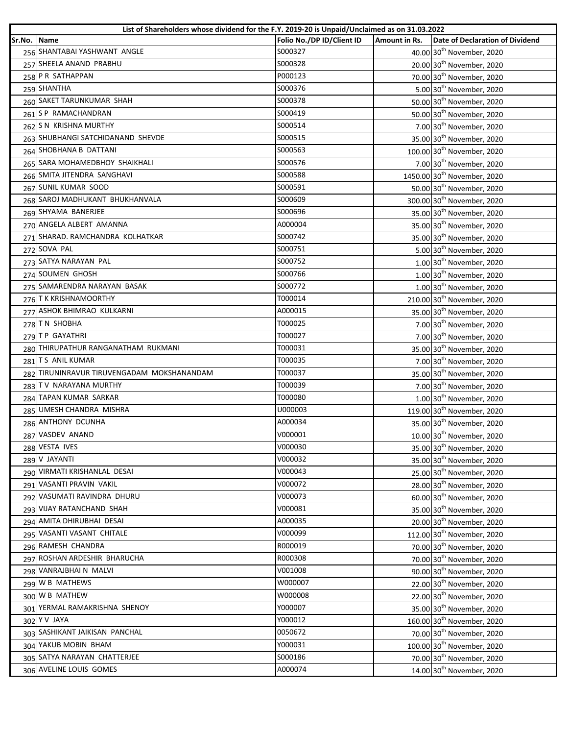|        | List of Shareholders whose dividend for the F.Y. 2019-20 is Unpaid/Unclaimed as on 31.03.2022 |                           |               |                                         |
|--------|-----------------------------------------------------------------------------------------------|---------------------------|---------------|-----------------------------------------|
| Sr.No. | <b>Name</b>                                                                                   | Folio No./DP ID/Client ID | Amount in Rs. | Date of Declaration of Dividend         |
|        | 256 SHANTABAI YASHWANT ANGLE                                                                  | S000327                   |               | 40.00 30 <sup>th</sup> November, 2020   |
|        | 257 SHEELA ANAND PRABHU                                                                       | S000328                   |               | 20.00 30 <sup>th</sup> November, 2020   |
|        | 258 P R SATHAPPAN                                                                             | P000123                   |               | 70.00 30 <sup>th</sup> November, 2020   |
|        | 259 SHANTHA                                                                                   | S000376                   |               | 5.00 30 <sup>th</sup> November, 2020    |
|        | 260 SAKET TARUNKUMAR SHAH                                                                     | S000378                   |               | 50.00 30 <sup>th</sup> November, 2020   |
|        | 261 S P RAMACHANDRAN                                                                          | S000419                   |               | 50.00 30 <sup>th</sup> November, 2020   |
|        | 262 S N KRISHNA MURTHY                                                                        | S000514                   |               | 7.00 30 <sup>th</sup> November, 2020    |
|        | 263 SHUBHANGI SATCHIDANAND SHEVDE                                                             | S000515                   |               | 35.00 30 <sup>th</sup> November, 2020   |
|        | 264 SHOBHANA B DATTANI                                                                        | S000563                   |               | 100.00 30 <sup>th</sup> November, 2020  |
|        | 265 SARA MOHAMEDBHOY SHAIKHALI                                                                | S000576                   |               | 7.00 30 <sup>th</sup> November, 2020    |
|        | 266 SMITA JITENDRA SANGHAVI                                                                   | S000588                   |               | 1450.00 30 <sup>th</sup> November, 2020 |
|        | 267 SUNIL KUMAR SOOD                                                                          | S000591                   |               | 50.00 30 <sup>th</sup> November, 2020   |
|        | 268 SAROJ MADHUKANT BHUKHANVALA                                                               | S000609                   |               | 300.00 30 <sup>th</sup> November, 2020  |
|        | 269 SHYAMA BANERJEE                                                                           | S000696                   |               | 35.00 30 <sup>th</sup> November, 2020   |
|        | 270 ANGELA ALBERT AMANNA                                                                      | A000004                   |               | 35.00 30 <sup>th</sup> November, 2020   |
|        | 271 SHARAD. RAMCHANDRA KOLHATKAR                                                              | S000742                   |               | 35.00 30 <sup>th</sup> November, 2020   |
|        | 272 SOVA PAL                                                                                  | S000751                   |               | 5.00 30 <sup>th</sup> November, 2020    |
|        | 273 SATYA NARAYAN PAL                                                                         | S000752                   |               | $1.00$ 30 <sup>th</sup> November, 2020  |
|        | 274 SOUMEN GHOSH                                                                              | S000766                   |               | 1.00 30 <sup>th</sup> November, 2020    |
|        | 275 SAMARENDRA NARAYAN BASAK                                                                  | S000772                   |               | 1.00 30 <sup>th</sup> November, 2020    |
|        | 276 T K KRISHNAMOORTHY                                                                        | T000014                   |               | 210.00 30 <sup>th</sup> November, 2020  |
|        | 277 ASHOK BHIMRAO KULKARNI                                                                    | A000015                   |               | 35.00 30 <sup>th</sup> November, 2020   |
|        | 278 TN SHOBHA                                                                                 | T000025                   |               | 7.00 30 <sup>th</sup> November, 2020    |
|        | 279 TP GAYATHRI                                                                               | T000027                   |               | 7.00 30 <sup>th</sup> November, 2020    |
|        | 280 THIRUPATHUR RANGANATHAM RUKMANI                                                           | T000031                   |               | 35.00 30 <sup>th</sup> November, 2020   |
|        | 281 TS ANIL KUMAR                                                                             | T000035                   |               | 7.00 30 <sup>th</sup> November, 2020    |
|        | 282 TIRUNINRAVUR TIRUVENGADAM MOKSHANANDAM                                                    | T000037                   |               | 35.00 30 <sup>th</sup> November, 2020   |
|        | 283 TV NARAYANA MURTHY                                                                        | T000039                   |               | 7.00 30 <sup>th</sup> November, 2020    |
|        | 284 TAPAN KUMAR SARKAR                                                                        | T000080                   |               | 1.00 30 <sup>th</sup> November, 2020    |
|        | 285 UMESH CHANDRA MISHRA                                                                      | U000003                   |               | 119.00 30 <sup>th</sup> November, 2020  |
|        | 286 ANTHONY DCUNHA                                                                            | A000034                   |               | 35.00 30 <sup>th</sup> November, 2020   |
|        | 287 VASDEV ANAND                                                                              | V000001                   |               | 10.00 30 <sup>th</sup> November, 2020   |
|        | 288 VESTA IVES                                                                                | V000030                   |               | 35.00 30 <sup>th</sup> November, 2020   |
|        | 289 V JAYANTI                                                                                 | V000032                   |               | 35.00 30 <sup>th</sup> November, 2020   |
|        | 290 VIRMATI KRISHANLAL DESAI                                                                  | V000043                   |               | 25.00 30 <sup>th</sup> November, 2020   |
|        | 291 VASANTI PRAVIN VAKIL                                                                      | V000072                   |               | 28.00 30 <sup>th</sup> November, 2020   |
|        | 292 VASUMATI RAVINDRA DHURU                                                                   | V000073                   |               | 60.00 30 <sup>th</sup> November, 2020   |
|        | 293 VIJAY RATANCHAND SHAH                                                                     | V000081                   |               | 35.00 30 <sup>th</sup> November, 2020   |
|        | 294 AMITA DHIRUBHAI DESAI                                                                     | A000035                   |               | 20.00 30 <sup>th</sup> November, 2020   |
|        | 295 VASANTI VASANT CHITALE                                                                    | V000099                   |               | 112.00 30 <sup>th</sup> November, 2020  |
|        | 296 RAMESH CHANDRA                                                                            | R000019                   |               | 70.00 30 <sup>th</sup> November, 2020   |
|        | 297 ROSHAN ARDESHIR BHARUCHA                                                                  | R000308                   |               | 70.00 30 <sup>th</sup> November, 2020   |
|        | 298 VANRAJBHAI N MALVI                                                                        | V001008                   |               |                                         |
|        | 299 W B MATHEWS                                                                               | W000007                   |               | 90.00 30 <sup>th</sup> November, 2020   |
|        | 300 W B MATHEW                                                                                | W000008                   |               | 22.00 30 <sup>th</sup> November, 2020   |
|        | 301 YERMAL RAMAKRISHNA SHENOY                                                                 |                           |               | 22.00 30 <sup>th</sup> November, 2020   |
|        |                                                                                               | Y000007                   |               | 35.00 30 <sup>th</sup> November, 2020   |
|        | 302 Y V JAYA                                                                                  | Y000012                   |               | 160.00 30 <sup>th</sup> November, 2020  |
|        | 303 SASHIKANT JAIKISAN PANCHAL                                                                | 0050672                   |               | 70.00 30 <sup>th</sup> November, 2020   |
|        | 304 YAKUB MOBIN BHAM                                                                          | Y000031                   |               | 100.00 30 <sup>th</sup> November, 2020  |
|        | 305 SATYA NARAYAN CHATTERJEE                                                                  | S000186                   |               | 70.00 30 <sup>th</sup> November, 2020   |
|        | 306 AVELINE LOUIS GOMES                                                                       | A000074                   |               | 14.00 30 <sup>th</sup> November, 2020   |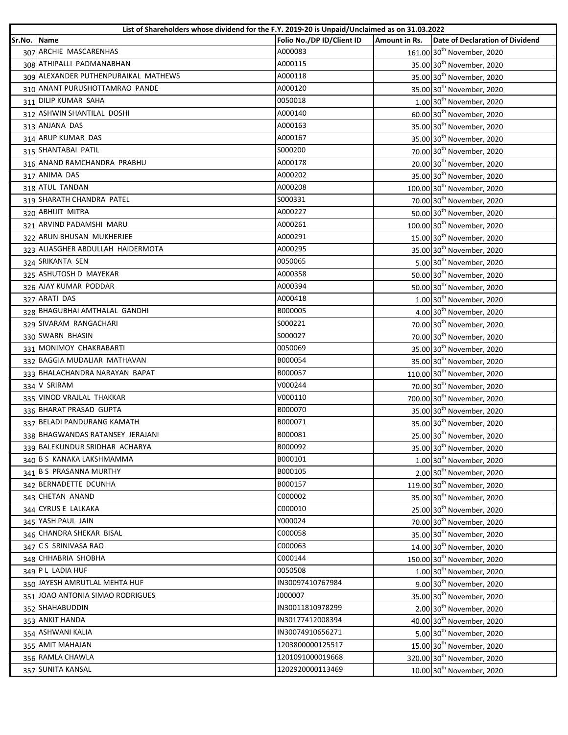| Folio No./DP ID/Client ID<br>Amount in Rs.<br>Date of Declaration of Dividend<br>Sr.No. Name<br>307 ARCHIE MASCARENHAS<br>A000083<br>161.00 30 <sup>th</sup> November, 2020<br>308 ATHIPALLI PADMANABHAN<br>A000115<br>35.00 30 <sup>th</sup> November, 2020<br>309 ALEXANDER PUTHENPURAIKAL MATHEWS<br>A000118<br>35.00 30 <sup>th</sup> November, 2020<br>310 ANANT PURUSHOTTAMRAO PANDE<br>A000120<br>35.00 30 <sup>th</sup> November, 2020<br>311 DILIP KUMAR SAHA<br>0050018<br>1.00 30 <sup>th</sup> November, 2020<br>60.00 30 <sup>th</sup> November, 2020<br>312 ASHWIN SHANTILAL DOSHI<br>A000140<br>313 ANJANA DAS<br>A000163<br>35.00 30 <sup>th</sup> November, 2020 |  |
|-----------------------------------------------------------------------------------------------------------------------------------------------------------------------------------------------------------------------------------------------------------------------------------------------------------------------------------------------------------------------------------------------------------------------------------------------------------------------------------------------------------------------------------------------------------------------------------------------------------------------------------------------------------------------------------|--|
|                                                                                                                                                                                                                                                                                                                                                                                                                                                                                                                                                                                                                                                                                   |  |
|                                                                                                                                                                                                                                                                                                                                                                                                                                                                                                                                                                                                                                                                                   |  |
|                                                                                                                                                                                                                                                                                                                                                                                                                                                                                                                                                                                                                                                                                   |  |
|                                                                                                                                                                                                                                                                                                                                                                                                                                                                                                                                                                                                                                                                                   |  |
|                                                                                                                                                                                                                                                                                                                                                                                                                                                                                                                                                                                                                                                                                   |  |
|                                                                                                                                                                                                                                                                                                                                                                                                                                                                                                                                                                                                                                                                                   |  |
|                                                                                                                                                                                                                                                                                                                                                                                                                                                                                                                                                                                                                                                                                   |  |
|                                                                                                                                                                                                                                                                                                                                                                                                                                                                                                                                                                                                                                                                                   |  |
| 35.00 30 <sup>th</sup> November, 2020<br>314 ARUP KUMAR DAS<br>A000167                                                                                                                                                                                                                                                                                                                                                                                                                                                                                                                                                                                                            |  |
| 315 SHANTABAI PATIL<br>S000200<br>70.00 30 <sup>th</sup> November, 2020                                                                                                                                                                                                                                                                                                                                                                                                                                                                                                                                                                                                           |  |
| 316 ANAND RAMCHANDRA PRABHU<br>20.00 30 <sup>th</sup> November, 2020<br>A000178                                                                                                                                                                                                                                                                                                                                                                                                                                                                                                                                                                                                   |  |
| 317 ANIMA DAS<br>A000202<br>35.00 30 <sup>th</sup> November, 2020                                                                                                                                                                                                                                                                                                                                                                                                                                                                                                                                                                                                                 |  |
| 318 ATUL TANDAN<br>A000208<br>100.00 30 <sup>th</sup> November, 2020                                                                                                                                                                                                                                                                                                                                                                                                                                                                                                                                                                                                              |  |
| 319 SHARATH CHANDRA PATEL<br>S000331<br>70.00 30 <sup>th</sup> November, 2020                                                                                                                                                                                                                                                                                                                                                                                                                                                                                                                                                                                                     |  |
| 320 ABHIJIT MITRA<br>A000227<br>50.00 30 <sup>th</sup> November, 2020                                                                                                                                                                                                                                                                                                                                                                                                                                                                                                                                                                                                             |  |
| 321 ARVIND PADAMSHI MARU<br>A000261<br>100.00 30 <sup>th</sup> November, 2020                                                                                                                                                                                                                                                                                                                                                                                                                                                                                                                                                                                                     |  |
| 322 ARUN BHUSAN MUKHERJEE<br>A000291<br>15.00 30 <sup>th</sup> November, 2020                                                                                                                                                                                                                                                                                                                                                                                                                                                                                                                                                                                                     |  |
| 323 ALIASGHER ABDULLAH HAIDERMOTA<br>A000295<br>35.00 30 <sup>th</sup> November, 2020                                                                                                                                                                                                                                                                                                                                                                                                                                                                                                                                                                                             |  |
| 324 SRIKANTA SEN<br>0050065<br>5.00 30 <sup>th</sup> November, 2020                                                                                                                                                                                                                                                                                                                                                                                                                                                                                                                                                                                                               |  |
| 325 ASHUTOSH D MAYEKAR<br>A000358<br>50.00 30 <sup>th</sup> November, 2020                                                                                                                                                                                                                                                                                                                                                                                                                                                                                                                                                                                                        |  |
| 326 AJAY KUMAR PODDAR<br>A000394<br>50.00 30 <sup>th</sup> November, 2020                                                                                                                                                                                                                                                                                                                                                                                                                                                                                                                                                                                                         |  |
| 327 ARATI DAS<br>A000418<br>1.00 30 <sup>th</sup> November, 2020                                                                                                                                                                                                                                                                                                                                                                                                                                                                                                                                                                                                                  |  |
| 328 BHAGUBHAI AMTHALAL GANDHI<br>B000005<br>4.00 30 <sup>th</sup> November, 2020                                                                                                                                                                                                                                                                                                                                                                                                                                                                                                                                                                                                  |  |
| 329 SIVARAM RANGACHARI<br>S000221<br>70.00 30 <sup>th</sup> November, 2020                                                                                                                                                                                                                                                                                                                                                                                                                                                                                                                                                                                                        |  |
| 330 SWARN BHASIN<br>70.00 30 <sup>th</sup> November, 2020<br>S000027                                                                                                                                                                                                                                                                                                                                                                                                                                                                                                                                                                                                              |  |
| 331 MONIMOY CHAKRABARTI<br>0050069<br>35.00 30 <sup>th</sup> November, 2020                                                                                                                                                                                                                                                                                                                                                                                                                                                                                                                                                                                                       |  |
| 332 BAGGIA MUDALIAR MATHAVAN<br>B000054<br>35.00 30 <sup>th</sup> November, 2020                                                                                                                                                                                                                                                                                                                                                                                                                                                                                                                                                                                                  |  |
| 333 BHALACHANDRA NARAYAN BAPAT<br>B000057<br>110.00 30 <sup>th</sup> November, 2020                                                                                                                                                                                                                                                                                                                                                                                                                                                                                                                                                                                               |  |
| 334 V SRIRAM<br>V000244<br>70.00 30 <sup>th</sup> November, 2020                                                                                                                                                                                                                                                                                                                                                                                                                                                                                                                                                                                                                  |  |
| 335 VINOD VRAJLAL THAKKAR<br>700.00 30 <sup>th</sup> November, 2020<br>V000110                                                                                                                                                                                                                                                                                                                                                                                                                                                                                                                                                                                                    |  |
| 336 BHARAT PRASAD GUPTA<br>B000070<br>35.00 30 <sup>th</sup> November, 2020                                                                                                                                                                                                                                                                                                                                                                                                                                                                                                                                                                                                       |  |
| 337 BELADI PANDURANG KAMATH<br>35.00 30 <sup>th</sup> November, 2020<br>B000071                                                                                                                                                                                                                                                                                                                                                                                                                                                                                                                                                                                                   |  |
| 338 BHAGWANDAS RATANSEY JERAJANI<br>B000081<br>25.00 30 <sup>th</sup> November, 2020                                                                                                                                                                                                                                                                                                                                                                                                                                                                                                                                                                                              |  |
| B000092<br>35.00 30 <sup>th</sup> November, 2020<br>339 BALEKUNDUR SRIDHAR ACHARYA                                                                                                                                                                                                                                                                                                                                                                                                                                                                                                                                                                                                |  |
| 340 B S KANAKA LAKSHMAMMA<br>B000101<br>1.00 30 <sup>th</sup> November, 2020                                                                                                                                                                                                                                                                                                                                                                                                                                                                                                                                                                                                      |  |
| 341 B S PRASANNA MURTHY<br>B000105<br>2.00 30 <sup>th</sup> November, 2020                                                                                                                                                                                                                                                                                                                                                                                                                                                                                                                                                                                                        |  |
| 342 BERNADETTE DCUNHA<br>B000157<br>119.00 30 <sup>th</sup> November, 2020                                                                                                                                                                                                                                                                                                                                                                                                                                                                                                                                                                                                        |  |
| 343 CHETAN ANAND<br>C000002<br>35.00 30 <sup>th</sup> November, 2020                                                                                                                                                                                                                                                                                                                                                                                                                                                                                                                                                                                                              |  |
| 344 CYRUS E LALKAKA<br>C000010<br>25.00 30 <sup>th</sup> November, 2020                                                                                                                                                                                                                                                                                                                                                                                                                                                                                                                                                                                                           |  |
| 345 YASH PAUL JAIN<br>Y000024<br>70.00 30 <sup>th</sup> November, 2020                                                                                                                                                                                                                                                                                                                                                                                                                                                                                                                                                                                                            |  |
| 346 CHANDRA SHEKAR BISAL<br>C000058<br>35.00 30 <sup>th</sup> November, 2020                                                                                                                                                                                                                                                                                                                                                                                                                                                                                                                                                                                                      |  |
| 347 CS SRINIVASA RAO<br>C000063<br>14.00 30 <sup>th</sup> November, 2020                                                                                                                                                                                                                                                                                                                                                                                                                                                                                                                                                                                                          |  |
| 348 CHHABRIA SHOBHA<br>C000144<br>150.00 30 <sup>th</sup> November, 2020                                                                                                                                                                                                                                                                                                                                                                                                                                                                                                                                                                                                          |  |
| 349 P L LADIA HUF<br>0050508<br>1.00 30 <sup>th</sup> November, 2020                                                                                                                                                                                                                                                                                                                                                                                                                                                                                                                                                                                                              |  |
| 350 JAYESH AMRUTLAL MEHTA HUF<br>IN30097410767984<br>9.00 30 <sup>th</sup> November, 2020                                                                                                                                                                                                                                                                                                                                                                                                                                                                                                                                                                                         |  |
| 351 JOAO ANTONIA SIMAO RODRIGUES<br>J000007<br>35.00 30 <sup>th</sup> November, 2020                                                                                                                                                                                                                                                                                                                                                                                                                                                                                                                                                                                              |  |
| 2.00 30 <sup>th</sup> November, 2020<br>352 SHAHABUDDIN<br>IN30011810978299                                                                                                                                                                                                                                                                                                                                                                                                                                                                                                                                                                                                       |  |
| 40.00 30 <sup>th</sup> November, 2020<br>353 ANKIT HANDA<br>IN30177412008394                                                                                                                                                                                                                                                                                                                                                                                                                                                                                                                                                                                                      |  |
| IN30074910656271<br>354 ASHWANI KALIA<br>5.00 30 <sup>th</sup> November, 2020                                                                                                                                                                                                                                                                                                                                                                                                                                                                                                                                                                                                     |  |
| 1203800000125517<br>355 AMIT MAHAJAN<br>15.00 30 <sup>th</sup> November, 2020                                                                                                                                                                                                                                                                                                                                                                                                                                                                                                                                                                                                     |  |
| 356 RAMLA CHAWLA<br>1201091000019668<br>320.00 30 <sup>th</sup> November, 2020                                                                                                                                                                                                                                                                                                                                                                                                                                                                                                                                                                                                    |  |
| 357 SUNITA KANSAL<br>1202920000113469<br>10.00 30 <sup>th</sup> November, 2020                                                                                                                                                                                                                                                                                                                                                                                                                                                                                                                                                                                                    |  |